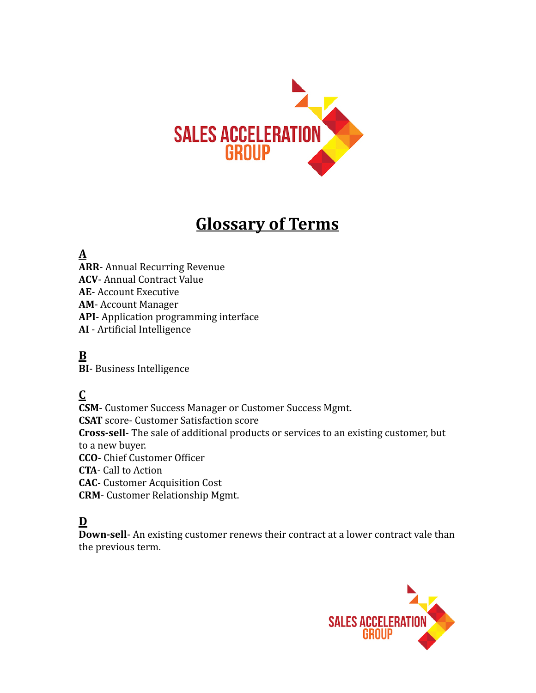

## **Glossary of Terms**

## **A**

**ARR** - Annual Recurring Revenue **ACV** - Annual Contract Value **AE** - Account Executive **AM** - Account Manager API- Application programming interface **AI** - Artificial Intelligence

## **B**

**BI**-Business Intelligence

#### **C**

**CSM** - Customer Success Manager or Customer Success Mgmt. **CSAT** score- Customer Satisfaction score **Cross-sell-** The sale of additional products or services to an existing customer, but to a new buyer. **CCO** - Chief Customer Officer **CTA** - Call to Action **CAC**- Customer Acquisition Cost **CRM** - Customer Relationship Mgmt.

#### **D**

**Down-sell-** An existing customer renews their contract at a lower contract vale than the previous term.

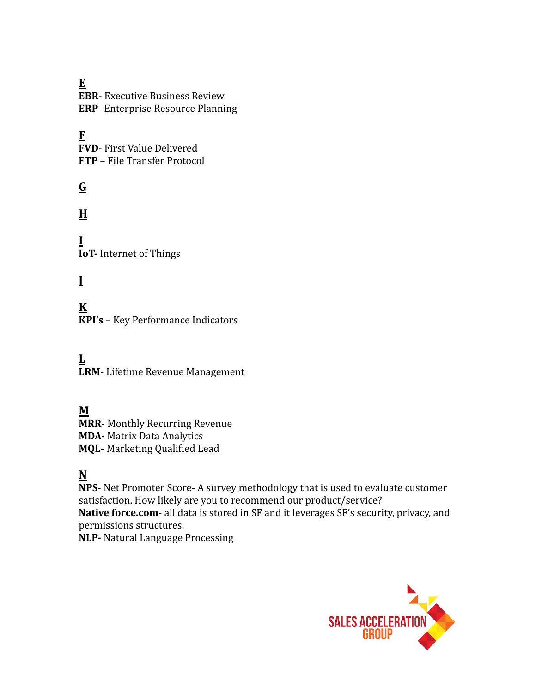**E EBR**- Executive Business Review **ERP**- Enterprise Resource Planning

#### **F**

**FVD**- First Value Delivered **FTP** – File Transfer Protocol

## **G**

**H**

**I IoT-** Internet of Things

## **J**

**K KPI's** – Key Performance Indicators

**L LRM** - Lifetime Revenue Management

#### **M**

**MRR**- Monthly Recurring Revenue **MDA-** Matrix Data Analytics **MQL**- Marketing Qualified Lead

#### **N**

**NPS**- Net Promoter Score- A survey methodology that is used to evaluate customer satisfaction. How likely are you to recommend our product/service? **Native force.com** - all data is stored in SF and it leverages SF's security, privacy, and permissions structures.

**NLP-** Natural Language Processing